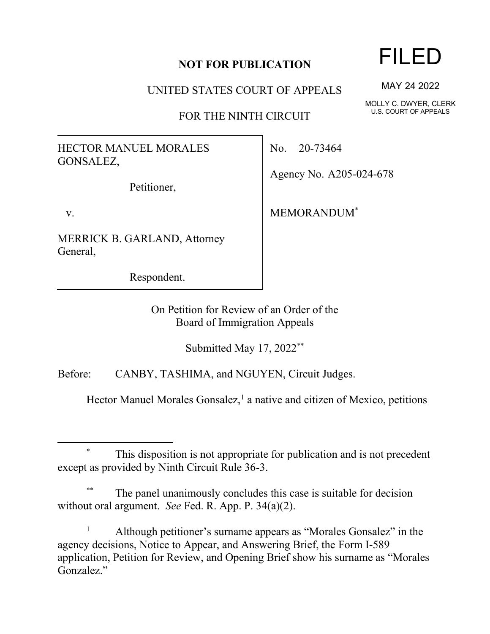## **NOT FOR PUBLICATION**

UNITED STATES COURT OF APPEALS

FOR THE NINTH CIRCUIT

HECTOR MANUEL MORALES GONSALEZ,

Petitioner,

v.

MERRICK B. GARLAND, Attorney General,

Respondent.

No. 20-73464

Agency No. A205-024-678

MEMORANDUM\*

On Petition for Review of an Order of the Board of Immigration Appeals

Submitted May 17, 2022\*\*

Before: CANBY, TASHIMA, and NGUYEN, Circuit Judges.

Hector Manuel Morales Gonsalez,<sup>1</sup> a native and citizen of Mexico, petitions

## This disposition is not appropriate for publication and is not precedent except as provided by Ninth Circuit Rule 36-3.

The panel unanimously concludes this case is suitable for decision without oral argument. *See* Fed. R. App. P. 34(a)(2).

<sup>1</sup> Although petitioner's surname appears as "Morales Gonsalez" in the agency decisions, Notice to Appear, and Answering Brief, the Form I-589 application, Petition for Review, and Opening Brief show his surname as "Morales Gonzalez."

MAY 24 2022

MOLLY C. DWYER, CLERK U.S. COURT OF APPEALS